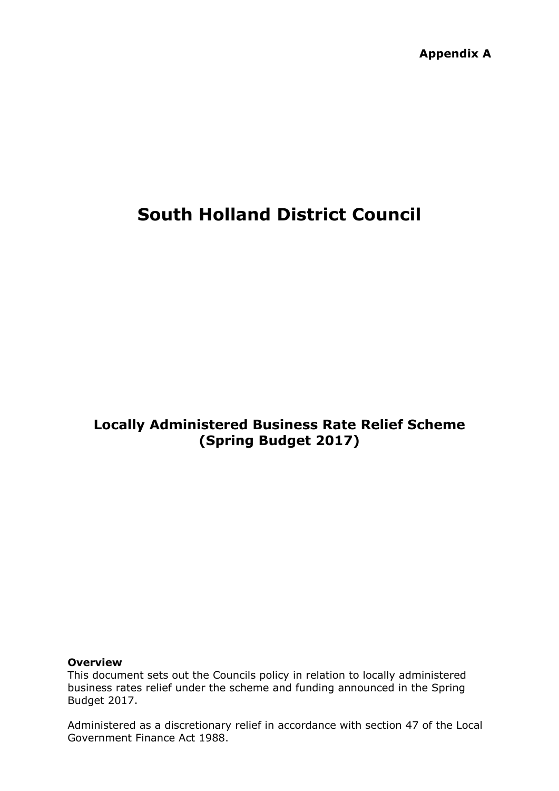**Appendix A**

# **South Holland District Council**

# **Locally Administered Business Rate Relief Scheme (Spring Budget 2017)**

#### **Overview**

This document sets out the Councils policy in relation to locally administered business rates relief under the scheme and funding announced in the Spring Budget 2017.

Administered as a discretionary relief in accordance with section 47 of the Local Government Finance Act 1988.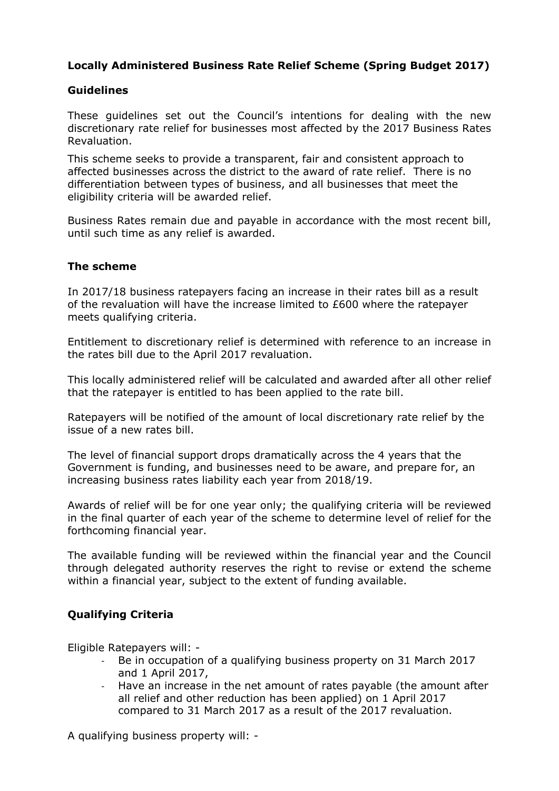# **Locally Administered Business Rate Relief Scheme (Spring Budget 2017)**

### **Guidelines**

These guidelines set out the Council's intentions for dealing with the new discretionary rate relief for businesses most affected by the 2017 Business Rates Revaluation.

This scheme seeks to provide a transparent, fair and consistent approach to affected businesses across the district to the award of rate relief. There is no differentiation between types of business, and all businesses that meet the eligibility criteria will be awarded relief.

Business Rates remain due and payable in accordance with the most recent bill, until such time as any relief is awarded.

#### **The scheme**

In 2017/18 business ratepayers facing an increase in their rates bill as a result of the revaluation will have the increase limited to £600 where the ratepayer meets qualifying criteria.

Entitlement to discretionary relief is determined with reference to an increase in the rates bill due to the April 2017 revaluation.

This locally administered relief will be calculated and awarded after all other relief that the ratepayer is entitled to has been applied to the rate bill.

Ratepayers will be notified of the amount of local discretionary rate relief by the issue of a new rates bill.

The level of financial support drops dramatically across the 4 years that the Government is funding, and businesses need to be aware, and prepare for, an increasing business rates liability each year from 2018/19.

Awards of relief will be for one year only; the qualifying criteria will be reviewed in the final quarter of each year of the scheme to determine level of relief for the forthcoming financial year.

The available funding will be reviewed within the financial year and the Council through delegated authority reserves the right to revise or extend the scheme within a financial year, subject to the extent of funding available.

# **Qualifying Criteria**

Eligible Ratepayers will: -

- Be in occupation of a qualifying business property on 31 March 2017 and 1 April 2017,
- Have an increase in the net amount of rates payable (the amount after all relief and other reduction has been applied) on 1 April 2017 compared to 31 March 2017 as a result of the 2017 revaluation.

A qualifying business property will: -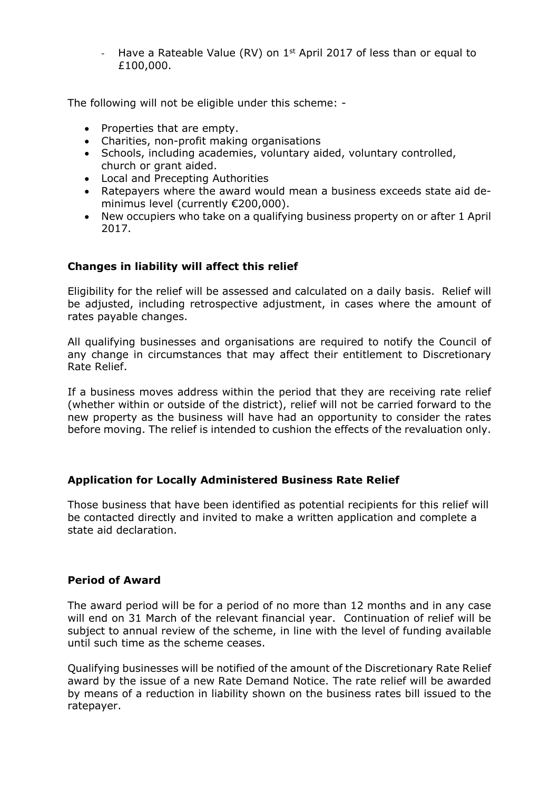Have a Rateable Value (RV) on 1<sup>st</sup> April 2017 of less than or equal to £100,000.

The following will not be eligible under this scheme: -

- Properties that are empty.
- Charities, non-profit making organisations
- Schools, including academies, voluntary aided, voluntary controlled, church or grant aided.
- Local and Precepting Authorities
- Ratepayers where the award would mean a business exceeds state aid deminimus level (currently €200,000).
- New occupiers who take on a qualifying business property on or after 1 April 2017.

# **Changes in liability will affect this relief**

Eligibility for the relief will be assessed and calculated on a daily basis. Relief will be adjusted, including retrospective adjustment, in cases where the amount of rates payable changes.

All qualifying businesses and organisations are required to notify the Council of any change in circumstances that may affect their entitlement to Discretionary Rate Relief.

If a business moves address within the period that they are receiving rate relief (whether within or outside of the district), relief will not be carried forward to the new property as the business will have had an opportunity to consider the rates before moving. The relief is intended to cushion the effects of the revaluation only.

#### **Application for Locally Administered Business Rate Relief**

Those business that have been identified as potential recipients for this relief will be contacted directly and invited to make a written application and complete a state aid declaration.

#### **Period of Award**

The award period will be for a period of no more than 12 months and in any case will end on 31 March of the relevant financial year. Continuation of relief will be subject to annual review of the scheme, in line with the level of funding available until such time as the scheme ceases.

Qualifying businesses will be notified of the amount of the Discretionary Rate Relief award by the issue of a new Rate Demand Notice. The rate relief will be awarded by means of a reduction in liability shown on the business rates bill issued to the ratepayer.